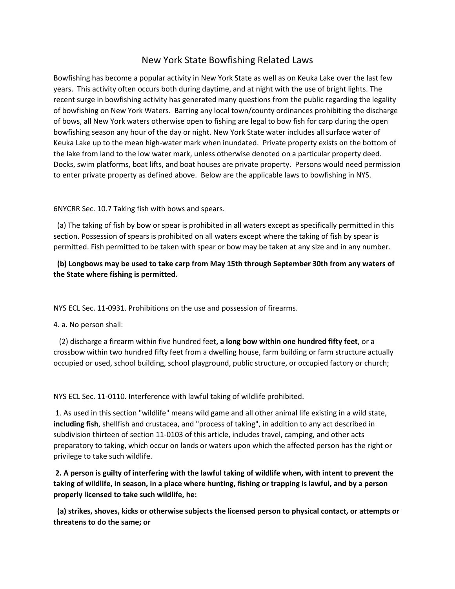## New York State Bowfishing Related Laws

Bowfishing has become a popular activity in New York State as well as on Keuka Lake over the last few years. This activity often occurs both during daytime, and at night with the use of bright lights. The recent surge in bowfishing activity has generated many questions from the public regarding the legality of bowfishing on New York Waters. Barring any local town/county ordinances prohibiting the discharge of bows, all New York waters otherwise open to fishing are legal to bow fish for carp during the open bowfishing season any hour of the day or night. New York State water includes all surface water of Keuka Lake up to the mean high-water mark when inundated. Private property exists on the bottom of the lake from land to the low water mark, unless otherwise denoted on a particular property deed. Docks, swim platforms, boat lifts, and boat houses are private property. Persons would need permission to enter private property as defined above. Below are the applicable laws to bowfishing in NYS.

6NYCRR Sec. 10.7 Taking fish with bows and spears.

 (a) The taking of fish by bow or spear is prohibited in all waters except as specifically permitted in this section. Possession of spears is prohibited on all waters except where the taking of fish by spear is permitted. Fish permitted to be taken with spear or bow may be taken at any size and in any number.

## **(b) Longbows may be used to take carp from May 15th through September 30th from any waters of the State where fishing is permitted.**

NYS ECL Sec. 11-0931. Prohibitions on the use and possession of firearms.

4. a. No person shall:

 (2) discharge a firearm within five hundred feet**, a long bow within one hundred fifty feet**, or a crossbow within two hundred fifty feet from a dwelling house, farm building or farm structure actually occupied or used, school building, school playground, public structure, or occupied factory or church;

NYS ECL Sec. 11-0110. Interference with lawful taking of wildlife prohibited.

1. As used in this section "wildlife" means wild game and all other animal life existing in a wild state, **including fish**, shellfish and crustacea, and "process of taking", in addition to any act described in subdivision thirteen of section 11-0103 of this article, includes travel, camping, and other acts preparatory to taking, which occur on lands or waters upon which the affected person has the right or privilege to take such wildlife.

**2. A person is guilty of interfering with the lawful taking of wildlife when, with intent to prevent the taking of wildlife, in season, in a place where hunting, fishing or trapping is lawful, and by a person properly licensed to take such wildlife, he:**

**(a) strikes, shoves, kicks or otherwise subjects the licensed person to physical contact, or attempts or threatens to do the same; or**